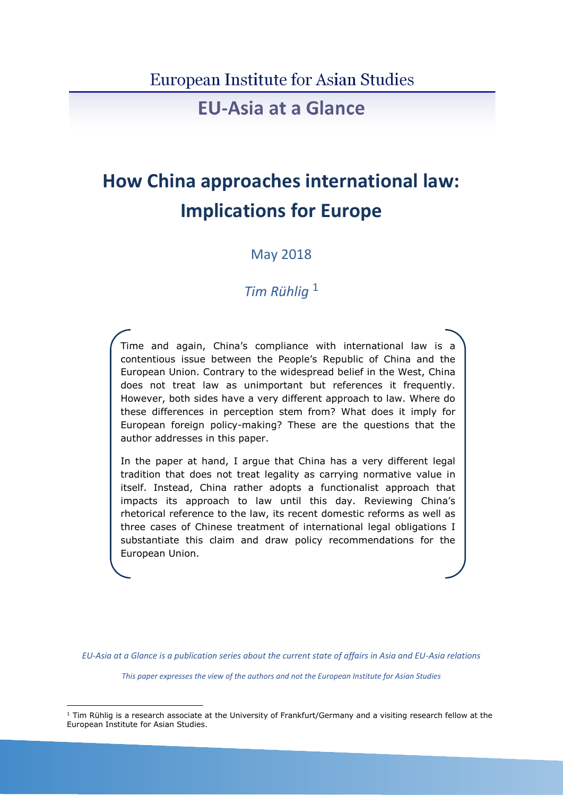### **European Institute for Asian Studies**

## **EU-Asia at a Glance**

# **How China approaches international law: Implications for Europe**

May 2018

## *Tim Rühlig* <sup>1</sup>

Time and again, China's compliance with international law is a contentious issue between the People's Republic of China and the European Union. Contrary to the widespread belief in the West, China does not treat law as unimportant but references it frequently. However, both sides have a very different approach to law. Where do these differences in perception stem from? What does it imply for European foreign policy-making? These are the questions that the author addresses in this paper.

In the paper at hand, I argue that China has a very different legal tradition that does not treat legality as carrying normative value in itself. Instead, China rather adopts a functionalist approach that impacts its approach to law until this day. Reviewing China's rhetorical reference to the law, its recent domestic reforms as well as three cases of Chinese treatment of international legal obligations I substantiate this claim and draw policy recommendations for the European Union.

*EU-Asia at a Glance is a publication series about the current state of affairs in Asia and EU-Asia relations*

*This paper expresses the view of the authors and not the European Institute for Asian Studies*

1

 $1$  Tim Rühlig is a research associate at the University of Frankfurt/Germany and a visiting research fellow at the European Institute for Asian Studies.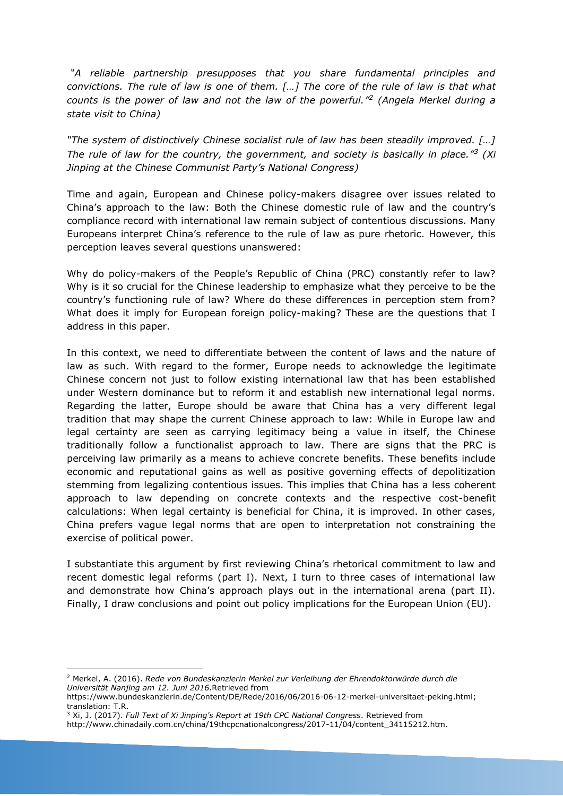*"A reliable partnership presupposes that you share fundamental principles and convictions. The rule of law is one of them. […] The core of the rule of law is that what counts is the power of law and not the law of the powerful." 2 (Angela Merkel during a state visit to China)*

*"The system of distinctively Chinese socialist rule of law has been steadily improved. […] The rule of law for the country, the government, and society is basically in place."<sup>3</sup> (Xi Jinping at the Chinese Communist Party's National Congress)*

Time and again, European and Chinese policy-makers disagree over issues related to China's approach to the law: Both the Chinese domestic rule of law and the country's compliance record with international law remain subject of contentious discussions. Many Europeans interpret China's reference to the rule of law as pure rhetoric. However, this perception leaves several questions unanswered:

Why do policy-makers of the People's Republic of China (PRC) constantly refer to law? Why is it so crucial for the Chinese leadership to emphasize what they perceive to be the country's functioning rule of law? Where do these differences in perception stem from? What does it imply for European foreign policy-making? These are the questions that I address in this paper.

In this context, we need to differentiate between the content of laws and the nature of law as such. With regard to the former, Europe needs to acknowledge the legitimate Chinese concern not just to follow existing international law that has been established under Western dominance but to reform it and establish new international legal norms. Regarding the latter, Europe should be aware that China has a very different legal tradition that may shape the current Chinese approach to law: While in Europe law and legal certainty are seen as carrying legitimacy being a value in itself, the Chinese traditionally follow a functionalist approach to law. There are signs that the PRC is perceiving law primarily as a means to achieve concrete benefits. These benefits include economic and reputational gains as well as positive governing effects of depolitization stemming from legalizing contentious issues. This implies that China has a less coherent approach to law depending on concrete contexts and the respective cost-benefit calculations: When legal certainty is beneficial for China, it is improved. In other cases, China prefers vague legal norms that are open to interpretation not constraining the exercise of political power.

I substantiate this argument by first reviewing China's rhetorical commitment to law and recent domestic legal reforms (part I). Next, I turn to three cases of international law and demonstrate how China's approach plays out in the international arena (part II). Finally, I draw conclusions and point out policy implications for the European Union (EU).

<sup>1</sup> <sup>2</sup> Merkel, A. (2016). *Rede von Bundeskanzlerin Merkel zur Verleihung der Ehrendoktorwürde durch die Universität Nanjing am 12. Juni 2016*.Retrieved from

https://www.bundeskanzlerin.de/Content/DE/Rede/2016/06/2016-06-12-merkel-universitaet-peking.html; translation: T.R.

<sup>3</sup> Xi, J. (2017). *Full Text of Xi Jinping's Report at 19th CPC National Congress*. Retrieved from

http://www.chinadaily.com.cn/china/19thcpcnationalcongress/2017-11/04/content\_34115212.htm.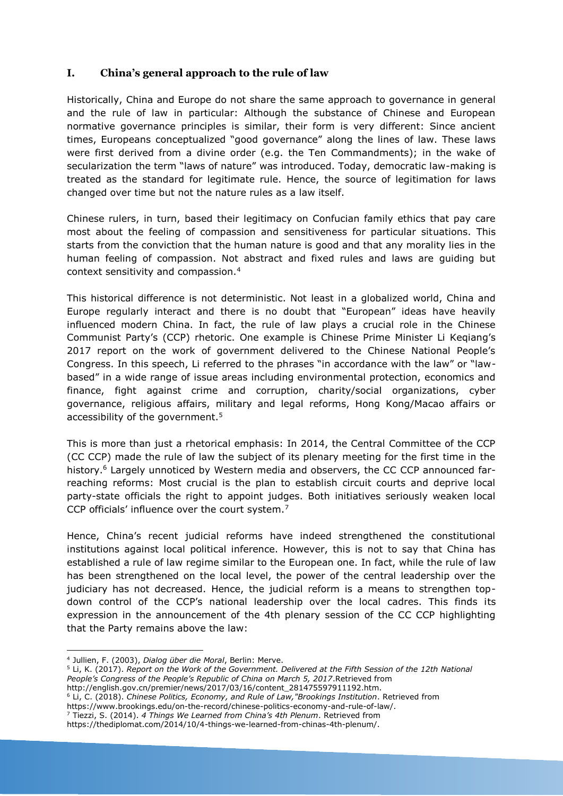#### **I. China's general approach to the rule of law**

Historically, China and Europe do not share the same approach to governance in general and the rule of law in particular: Although the substance of Chinese and European normative governance principles is similar, their form is very different: Since ancient times, Europeans conceptualized "good governance" along the lines of law. These laws were first derived from a divine order (e.g. the Ten Commandments); in the wake of secularization the term "laws of nature" was introduced. Today, democratic law-making is treated as the standard for legitimate rule. Hence, the source of legitimation for laws changed over time but not the nature rules as a law itself.

Chinese rulers, in turn, based their legitimacy on Confucian family ethics that pay care most about the feeling of compassion and sensitiveness for particular situations. This starts from the conviction that the human nature is good and that any morality lies in the human feeling of compassion. Not abstract and fixed rules and laws are guiding but context sensitivity and compassion.<sup>4</sup>

This historical difference is not deterministic. Not least in a globalized world, China and Europe regularly interact and there is no doubt that "European" ideas have heavily influenced modern China. In fact, the rule of law plays a crucial role in the Chinese Communist Party's (CCP) rhetoric. One example is Chinese Prime Minister Li Keqiang's 2017 report on the work of government delivered to the Chinese National People's Congress. In this speech, Li referred to the phrases "in accordance with the law" or "lawbased" in a wide range of issue areas including environmental protection, economics and finance, fight against crime and corruption, charity/social organizations, cyber governance, religious affairs, military and legal reforms, Hong Kong/Macao affairs or accessibility of the government.<sup>5</sup>

This is more than just a rhetorical emphasis: In 2014, the Central Committee of the CCP (CC CCP) made the rule of law the subject of its plenary meeting for the first time in the history.<sup>6</sup> Largely unnoticed by Western media and observers, the CC CCP announced farreaching reforms: Most crucial is the plan to establish circuit courts and deprive local party-state officials the right to appoint judges. Both initiatives seriously weaken local CCP officials' influence over the court system.<sup>7</sup>

Hence, China's recent judicial reforms have indeed strengthened the constitutional institutions against local political inference. However, this is not to say that China has established a rule of law regime similar to the European one. In fact, while the rule of law has been strengthened on the local level, the power of the central leadership over the judiciary has not decreased. Hence, the judicial reform is a means to strengthen topdown control of the CCP's national leadership over the local cadres. This finds its expression in the announcement of the 4th plenary session of the CC CCP highlighting that the Party remains above the law:

1

- <sup>6</sup> Li, C. (2018). *Chinese Politics, Economy, and Rule of Law,"Brookings Institution*. Retrieved from
- https://www.brookings.edu/on-the-record/chinese-politics-economy-and-rule-of-law/.
- <sup>7</sup> Tiezzi, S. (2014). *4 Things We Learned from China's 4th Plenum*. Retrieved from

<sup>4</sup> Jullien, F. (2003), *Dialog über die Moral*, Berlin: Merve.

<sup>5</sup> Li, K. (2017). *Report on the Work of the Government. Delivered at the Fifth Session of the 12th National People's Congress of the People's Republic of China on March 5, 2017*.Retrieved from

http://english.gov.cn/premier/news/2017/03/16/content\_281475597911192.htm.

https://thediplomat.com/2014/10/4-things-we-learned-from-chinas-4th-plenum/.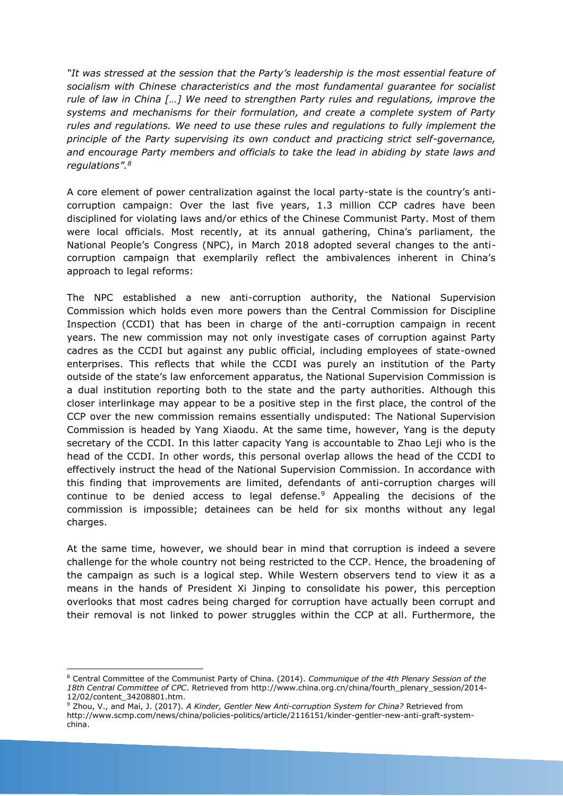*"It was stressed at the session that the Party's leadership is the most essential feature of socialism with Chinese characteristics and the most fundamental guarantee for socialist rule of law in China […] We need to strengthen Party rules and regulations, improve the systems and mechanisms for their formulation, and create a complete system of Party rules and regulations. We need to use these rules and regulations to fully implement the principle of the Party supervising its own conduct and practicing strict self-governance, and encourage Party members and officials to take the lead in abiding by state laws and regulations".<sup>8</sup>*

A core element of power centralization against the local party-state is the country's anticorruption campaign: Over the last five years, 1.3 million CCP cadres have been disciplined for violating laws and/or ethics of the Chinese Communist Party. Most of them were local officials. Most recently, at its annual gathering, China's parliament, the National People's Congress (NPC), in March 2018 adopted several changes to the anticorruption campaign that exemplarily reflect the ambivalences inherent in China's approach to legal reforms:

The NPC established a new anti-corruption authority, the National Supervision Commission which holds even more powers than the Central Commission for Discipline Inspection (CCDI) that has been in charge of the anti-corruption campaign in recent years. The new commission may not only investigate cases of corruption against Party cadres as the CCDI but against any public official, including employees of state-owned enterprises. This reflects that while the CCDI was purely an institution of the Party outside of the state's law enforcement apparatus, the National Supervision Commission is a dual institution reporting both to the state and the party authorities. Although this closer interlinkage may appear to be a positive step in the first place, the control of the CCP over the new commission remains essentially undisputed: The National Supervision Commission is headed by Yang Xiaodu. At the same time, however, Yang is the deputy secretary of the CCDI. In this latter capacity Yang is accountable to Zhao Leji who is the head of the CCDI. In other words, this personal overlap allows the head of the CCDI to effectively instruct the head of the National Supervision Commission. In accordance with this finding that improvements are limited, defendants of anti-corruption charges will continue to be denied access to legal defense. $9$  Appealing the decisions of the commission is impossible; detainees can be held for six months without any legal charges.

At the same time, however, we should bear in mind that corruption is indeed a severe challenge for the whole country not being restricted to the CCP. Hence, the broadening of the campaign as such is a logical step. While Western observers tend to view it as a means in the hands of President Xi Jinping to consolidate his power, this perception overlooks that most cadres being charged for corruption have actually been corrupt and their removal is not linked to power struggles within the CCP at all. Furthermore, the

<sup>1</sup> <sup>8</sup> Central Committee of the Communist Party of China. (2014). *Communique of the 4th Plenary Session of the 18th Central Committee of CPC*. Retrieved from http://www.china.org.cn/china/fourth\_plenary\_session/2014- 12/02/content\_34208801.htm.

<sup>9</sup> Zhou, V., and Mai, J. (2017). *A Kinder, Gentler New Anti-corruption System for China?* Retrieved from http://www.scmp.com/news/china/policies-politics/article/2116151/kinder-gentler-new-anti-graft-systemchina.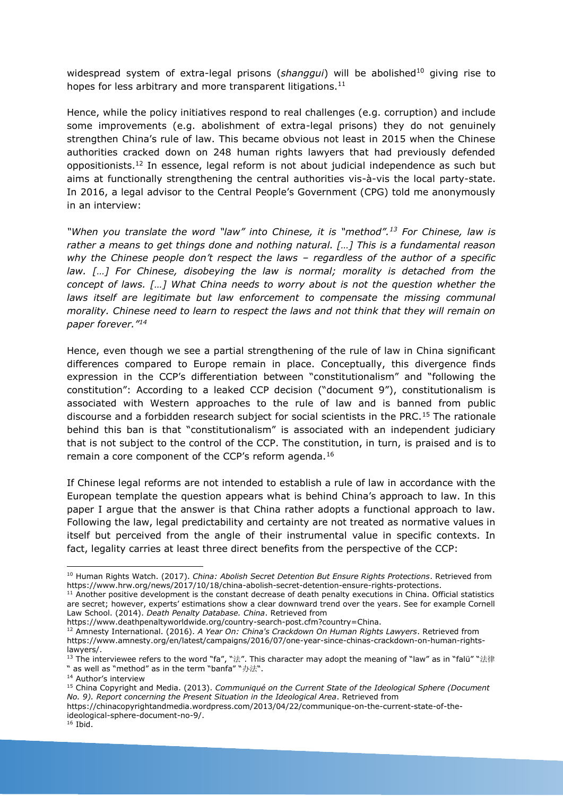widespread system of extra-legal prisons (shanggui) will be abolished<sup>10</sup> giving rise to hopes for less arbitrary and more transparent litigations.<sup>11</sup>

Hence, while the policy initiatives respond to real challenges (e.g. corruption) and include some improvements (e.g. abolishment of extra-legal prisons) they do not genuinely strengthen China's rule of law. This became obvious not least in 2015 when the Chinese authorities cracked down on 248 human rights lawyers that had previously defended oppositionists.<sup>12</sup> In essence, legal reform is not about judicial independence as such but aims at functionally strengthening the central authorities vis-à-vis the local party-state. In 2016, a legal advisor to the Central People's Government (CPG) told me anonymously in an interview:

*"When you translate the word "law" into Chinese, it is "method".<sup>13</sup> For Chinese, law is rather a means to get things done and nothing natural. […] This is a fundamental reason why the Chinese people don't respect the laws – regardless of the author of a specific law. […] For Chinese, disobeying the law is normal; morality is detached from the concept of laws. […] What China needs to worry about is not the question whether the*  laws itself are legitimate but law enforcement to compensate the missing communal *morality. Chinese need to learn to respect the laws and not think that they will remain on paper forever."<sup>14</sup>*

Hence, even though we see a partial strengthening of the rule of law in China significant differences compared to Europe remain in place. Conceptually, this divergence finds expression in the CCP's differentiation between "constitutionalism" and "following the constitution": According to a leaked CCP decision ("document 9"), constitutionalism is associated with Western approaches to the rule of law and is banned from public discourse and a forbidden research subject for social scientists in the PRC.<sup>15</sup> The rationale behind this ban is that "constitutionalism" is associated with an independent judiciary that is not subject to the control of the CCP. The constitution, in turn, is praised and is to remain a core component of the CCP's reform agenda.<sup>16</sup>

If Chinese legal reforms are not intended to establish a rule of law in accordance with the European template the question appears what is behind China's approach to law. In this paper I argue that the answer is that China rather adopts a functional approach to law. Following the law, legal predictability and certainty are not treated as normative values in itself but perceived from the angle of their instrumental value in specific contexts. In fact, legality carries at least three direct benefits from the perspective of the CCP:

https://www.deathpenaltyworldwide.org/country-search-post.cfm?country=China.

1

<sup>10</sup> Human Rights Watch. (2017). *China: Abolish Secret Detention But Ensure Rights Protections*. Retrieved from https://www.hrw.org/news/2017/10/18/china-abolish-secret-detention-ensure-rights-protections.

 $11$  Another positive development is the constant decrease of death penalty executions in China. Official statistics are secret; however, experts' estimations show a clear downward trend over the years. See for example Cornell Law School. (2014). *Death Penalty Database. China*. Retrieved from

<sup>12</sup> Amnesty International. (2016). *A Year On: China's Crackdown On Human Rights Lawyers*. Retrieved from https://www.amnesty.org/en/latest/campaigns/2016/07/one-year-since-chinas-crackdown-on-human-rightslawyers/.

 $13$  The interviewee refers to the word "fa", "法". This character may adopt the meaning of "law" as in "falü" "法律 " as well as "method" as in the term "banfa" "办法".

<sup>&</sup>lt;sup>14</sup> Author's interview

<sup>15</sup> China Copyright and Media. (2013). *Communiqué on the Current State of the Ideological Sphere (Document No. 9). Report concerning the Present Situation in the Ideological Area*. Retrieved from

https://chinacopyrightandmedia.wordpress.com/2013/04/22/communique-on-the-current-state-of-theideological-sphere-document-no-9/.

 $16$  Ibid.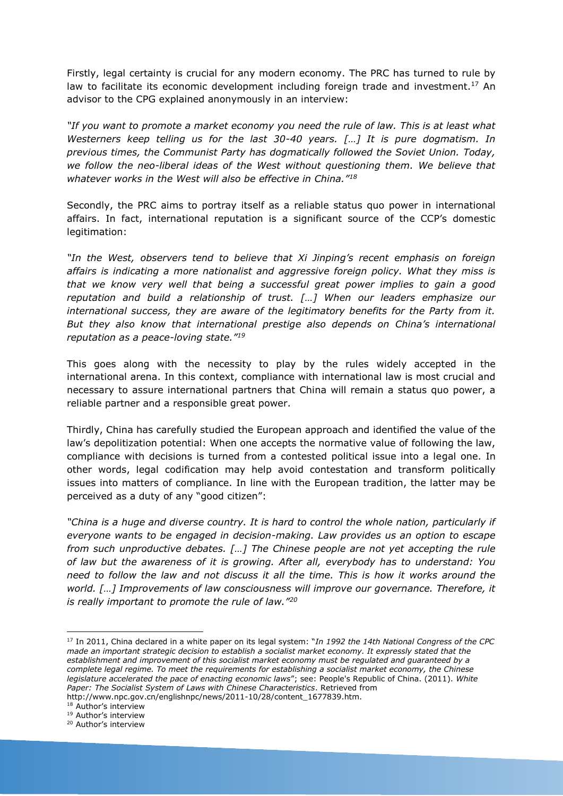Firstly, legal certainty is crucial for any modern economy. The PRC has turned to rule by law to facilitate its economic development including foreign trade and investment.<sup>17</sup> An advisor to the CPG explained anonymously in an interview:

*"If you want to promote a market economy you need the rule of law. This is at least what Westerners keep telling us for the last 30-40 years. […] It is pure dogmatism. In previous times, the Communist Party has dogmatically followed the Soviet Union. Today, we follow the neo-liberal ideas of the West without questioning them. We believe that whatever works in the West will also be effective in China."<sup>18</sup>*

Secondly, the PRC aims to portray itself as a reliable status quo power in international affairs. In fact, international reputation is a significant source of the CCP's domestic legitimation:

*"In the West, observers tend to believe that Xi Jinping's recent emphasis on foreign affairs is indicating a more nationalist and aggressive foreign policy. What they miss is that we know very well that being a successful great power implies to gain a good reputation and build a relationship of trust. […] When our leaders emphasize our international success, they are aware of the legitimatory benefits for the Party from it. But they also know that international prestige also depends on China's international reputation as a peace-loving state."<sup>19</sup>*

This goes along with the necessity to play by the rules widely accepted in the international arena. In this context, compliance with international law is most crucial and necessary to assure international partners that China will remain a status quo power, a reliable partner and a responsible great power.

Thirdly, China has carefully studied the European approach and identified the value of the law's depolitization potential: When one accepts the normative value of following the law, compliance with decisions is turned from a contested political issue into a legal one. In other words, legal codification may help avoid contestation and transform politically issues into matters of compliance. In line with the European tradition, the latter may be perceived as a duty of any "good citizen":

*"China is a huge and diverse country. It is hard to control the whole nation, particularly if everyone wants to be engaged in decision-making. Law provides us an option to escape from such unproductive debates. […] The Chinese people are not yet accepting the rule of law but the awareness of it is growing. After all, everybody has to understand: You need to follow the law and not discuss it all the time. This is how it works around the world. […] Improvements of law consciousness will improve our governance. Therefore, it is really important to promote the rule of law."<sup>20</sup>*

<sup>18</sup> Author's interview

<u>.</u>

<sup>17</sup> In 2011, China declared in a white paper on its legal system: "*In 1992 the 14th National Congress of the CPC made an important strategic decision to establish a socialist market economy. It expressly stated that the establishment and improvement of this socialist market economy must be regulated and guaranteed by a complete legal regime. To meet the requirements for establishing a socialist market economy, the Chinese legislature accelerated the pace of enacting economic laws*"; see: People's Republic of China. (2011). *White Paper: The Socialist System of Laws with Chinese Characteristics*. Retrieved from http://www.npc.gov.cn/englishnpc/news/2011-10/28/content\_1677839.htm.

<sup>19</sup> Author's interview

<sup>20</sup> Author's interview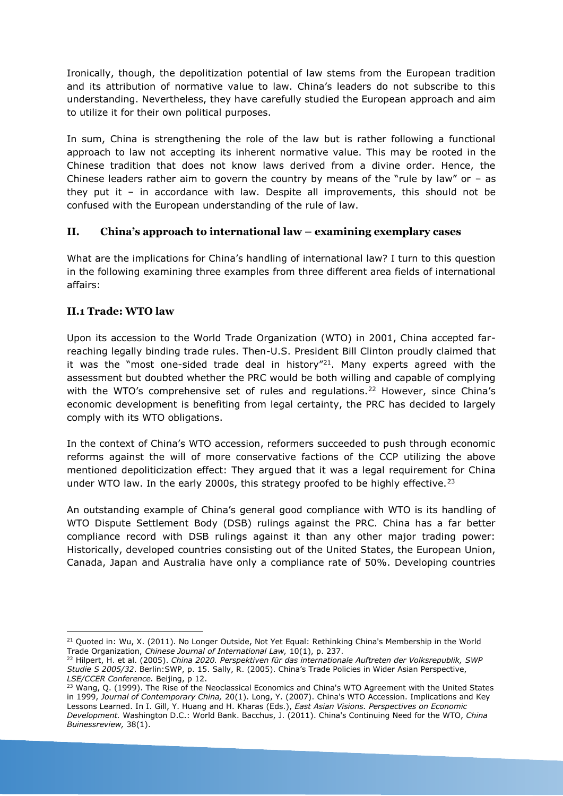Ironically, though, the depolitization potential of law stems from the European tradition and its attribution of normative value to law. China's leaders do not subscribe to this understanding. Nevertheless, they have carefully studied the European approach and aim to utilize it for their own political purposes.

In sum, China is strengthening the role of the law but is rather following a functional approach to law not accepting its inherent normative value. This may be rooted in the Chinese tradition that does not know laws derived from a divine order. Hence, the Chinese leaders rather aim to govern the country by means of the "rule by law" or  $-$  as they put it – in accordance with law. Despite all improvements, this should not be confused with the European understanding of the rule of law.

#### **II. China's approach to international law – examining exemplary cases**

What are the implications for China's handling of international law? I turn to this question in the following examining three examples from three different area fields of international affairs:

#### **II.1 Trade: WTO law**

Upon its accession to the World Trade Organization (WTO) in 2001, China accepted farreaching legally binding trade rules. Then-U.S. President Bill Clinton proudly claimed that it was the "most one-sided trade deal in history"<sup>21</sup>. Many experts agreed with the assessment but doubted whether the PRC would be both willing and capable of complying with the WTO's comprehensive set of rules and regulations.<sup>22</sup> However, since China's economic development is benefiting from legal certainty, the PRC has decided to largely comply with its WTO obligations.

In the context of China's WTO accession, reformers succeeded to push through economic reforms against the will of more conservative factions of the CCP utilizing the above mentioned depoliticization effect: They argued that it was a legal requirement for China under WTO law. In the early 2000s, this strategy proofed to be highly effective.<sup>23</sup>

An outstanding example of China's general good compliance with WTO is its handling of WTO Dispute Settlement Body (DSB) rulings against the PRC. China has a far better compliance record with DSB rulings against it than any other major trading power: Historically, developed countries consisting out of the United States, the European Union, Canada, Japan and Australia have only a compliance rate of 50%. Developing countries

<sup>&</sup>lt;u>.</u> <sup>21</sup> Quoted in: Wu, X. (2011). No Longer Outside, Not Yet Equal: Rethinking China's Membership in the World Trade Organization, *Chinese Journal of International Law,* 10(1), p. 237.

<sup>22</sup> Hilpert, H. et al. (2005). *China 2020. Perspektiven für das internationale Auftreten der Volksrepublik, SWP Studie S 2005/32*. Berlin:SWP, p. 15. Sally, R. (2005). China's Trade Policies in Wider Asian Perspective, *LSE/CCER Conference.* Beijing, p 12.

<sup>&</sup>lt;sup>23</sup> Wang, Q. (1999). The Rise of the Neoclassical Economics and China's WTO Agreement with the United States in 1999, *Journal of Contemporary China,* 20(1). Long, Y. (2007). China's WTO Accession. Implications and Key Lessons Learned. In I. Gill, Y. Huang and H. Kharas (Eds.), *East Asian Visions. Perspectives on Economic Development.* Washington D.C.: World Bank. Bacchus, J. (2011). China's Continuing Need for the WTO, *China Buinessreview,* 38(1).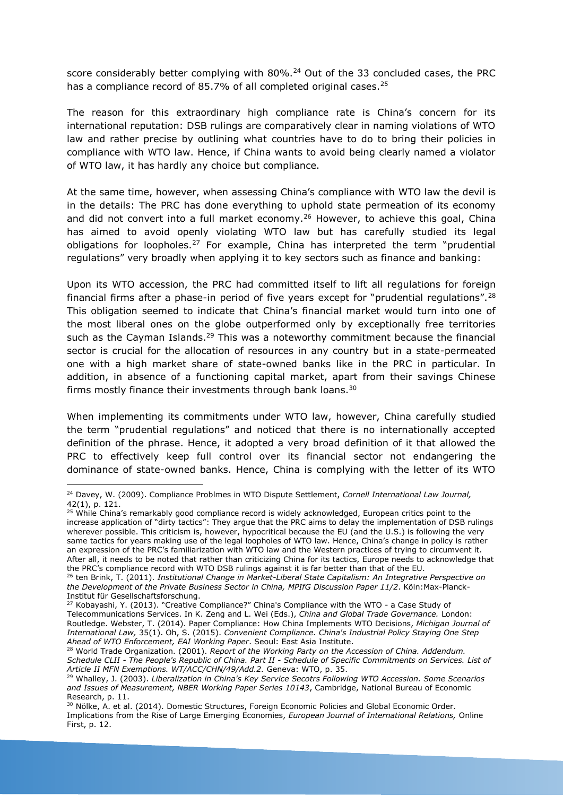score considerably better complying with 80%.<sup>24</sup> Out of the 33 concluded cases, the PRC has a compliance record of 85.7% of all completed original cases.<sup>25</sup>

The reason for this extraordinary high compliance rate is China's concern for its international reputation: DSB rulings are comparatively clear in naming violations of WTO law and rather precise by outlining what countries have to do to bring their policies in compliance with WTO law. Hence, if China wants to avoid being clearly named a violator of WTO law, it has hardly any choice but compliance.

At the same time, however, when assessing China's compliance with WTO law the devil is in the details: The PRC has done everything to uphold state permeation of its economy and did not convert into a full market economy.<sup>26</sup> However, to achieve this goal, China has aimed to avoid openly violating WTO law but has carefully studied its legal obligations for loopholes.<sup>27</sup> For example, China has interpreted the term "prudential regulations" very broadly when applying it to key sectors such as finance and banking:

Upon its WTO accession, the PRC had committed itself to lift all regulations for foreign financial firms after a phase-in period of five years except for "prudential regulations".<sup>28</sup> This obligation seemed to indicate that China's financial market would turn into one of the most liberal ones on the globe outperformed only by exceptionally free territories such as the Cayman Islands.<sup>29</sup> This was a noteworthy commitment because the financial sector is crucial for the allocation of resources in any country but in a state-permeated one with a high market share of state-owned banks like in the PRC in particular. In addition, in absence of a functioning capital market, apart from their savings Chinese firms mostly finance their investments through bank loans.<sup>30</sup>

When implementing its commitments under WTO law, however, China carefully studied the term "prudential regulations" and noticed that there is no internationally accepted definition of the phrase. Hence, it adopted a very broad definition of it that allowed the PRC to effectively keep full control over its financial sector not endangering the dominance of state-owned banks. Hence, China is complying with the letter of its WTO

<u>.</u>

<sup>25</sup> While China's remarkably good compliance record is widely acknowledged, European critics point to the increase application of "dirty tactics": They argue that the PRC aims to delay the implementation of DSB rulings wherever possible. This criticism is, however, hypocritical because the EU (and the U.S.) is following the very same tactics for years making use of the legal loopholes of WTO law. Hence, China's change in policy is rather an expression of the PRC's familiarization with WTO law and the Western practices of trying to circumvent it. After all, it needs to be noted that rather than criticizing China for its tactics, Europe needs to acknowledge that the PRC's compliance record with WTO DSB rulings against it is far better than that of the EU.

<sup>28</sup> World Trade Organization. (2001). *Report of the Working Party on the Accession of China. Addendum. Schedule CLII - The People's Republic of China. Part II - Schedule of Specific Commitments on Services. List of Article II MFN Exemptions. WT/ACC/CHN/49/Add.2.* Geneva: WTO, p. 35.

<sup>24</sup> Davey, W. (2009). Compliance Problmes in WTO Dispute Settlement, *Cornell International Law Journal,* 42(1), p. 121.

<sup>26</sup> ten Brink, T. (2011). *Institutional Change in Market-Liberal State Capitalism: An Integrative Perspective on the Development of the Private Business Sector in China, MPIfG Discussion Paper 11/2*. Köln:Max-Planck-Institut für Gesellschaftsforschung.

<sup>&</sup>lt;sup>27</sup> Kobayashi, Y. (2013). "Creative Compliance?" China's Compliance with the WTO - a Case Study of Telecommunications Services. In K. Zeng and L. Wei (Eds.), *China and Global Trade Governance.* London: Routledge. Webster, T. (2014). Paper Compliance: How China Implements WTO Decisions, *Michigan Journal of International Law,* 35(1). Oh, S. (2015). *Convenient Compliance. China's Industrial Policy Staying One Step Ahead of WTO Enforcement, EAI Working Paper*. Seoul: East Asia Institute.

<sup>29</sup> Whalley, J. (2003). *Liberalization in China's Key Service Secotrs Following WTO Accession. Some Scenarios and Issues of Measurement, NBER Working Paper Series 10143*, Cambridge, National Bureau of Economic Research, p. 11.

<sup>&</sup>lt;sup>30</sup> Nölke, A. et al. (2014). Domestic Structures, Foreign Economic Policies and Global Economic Order. Implications from the Rise of Large Emerging Economies, *European Journal of International Relations,* Online First, p. 12.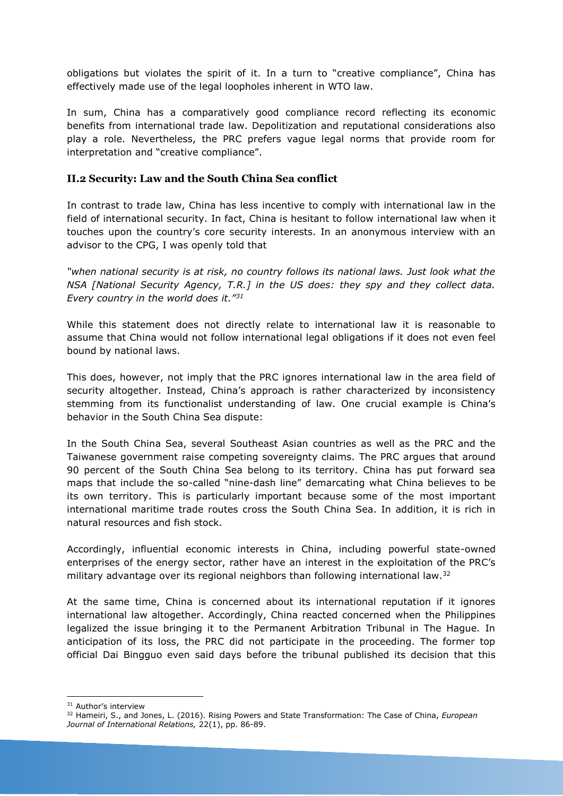obligations but violates the spirit of it. In a turn to "creative compliance", China has effectively made use of the legal loopholes inherent in WTO law.

In sum, China has a comparatively good compliance record reflecting its economic benefits from international trade law. Depolitization and reputational considerations also play a role. Nevertheless, the PRC prefers vague legal norms that provide room for interpretation and "creative compliance".

#### **II.2 Security: Law and the South China Sea conflict**

In contrast to trade law, China has less incentive to comply with international law in the field of international security. In fact, China is hesitant to follow international law when it touches upon the country's core security interests. In an anonymous interview with an advisor to the CPG, I was openly told that

*"when national security is at risk, no country follows its national laws. Just look what the NSA [National Security Agency, T.R.] in the US does: they spy and they collect data. Every country in the world does it."<sup>31</sup>*

While this statement does not directly relate to international law it is reasonable to assume that China would not follow international legal obligations if it does not even feel bound by national laws.

This does, however, not imply that the PRC ignores international law in the area field of security altogether. Instead, China's approach is rather characterized by inconsistency stemming from its functionalist understanding of law. One crucial example is China's behavior in the South China Sea dispute:

In the South China Sea, several Southeast Asian countries as well as the PRC and the Taiwanese government raise competing sovereignty claims. The PRC argues that around 90 percent of the South China Sea belong to its territory. China has put forward sea maps that include the so-called "nine-dash line" demarcating what China believes to be its own territory. This is particularly important because some of the most important international maritime trade routes cross the South China Sea. In addition, it is rich in natural resources and fish stock.

Accordingly, influential economic interests in China, including powerful state-owned enterprises of the energy sector, rather have an interest in the exploitation of the PRC's military advantage over its regional neighbors than following international law.<sup>32</sup>

At the same time, China is concerned about its international reputation if it ignores international law altogether. Accordingly, China reacted concerned when the Philippines legalized the issue bringing it to the Permanent Arbitration Tribunal in The Hague. In anticipation of its loss, the PRC did not participate in the proceeding. The former top official Dai Bingguo even said days before the tribunal published its decision that this

1 <sup>31</sup> Author's interview

<sup>32</sup> Hameiri, S., and Jones, L. (2016). Rising Powers and State Transformation: The Case of China, *European Journal of International Relations,* 22(1), pp. 86-89.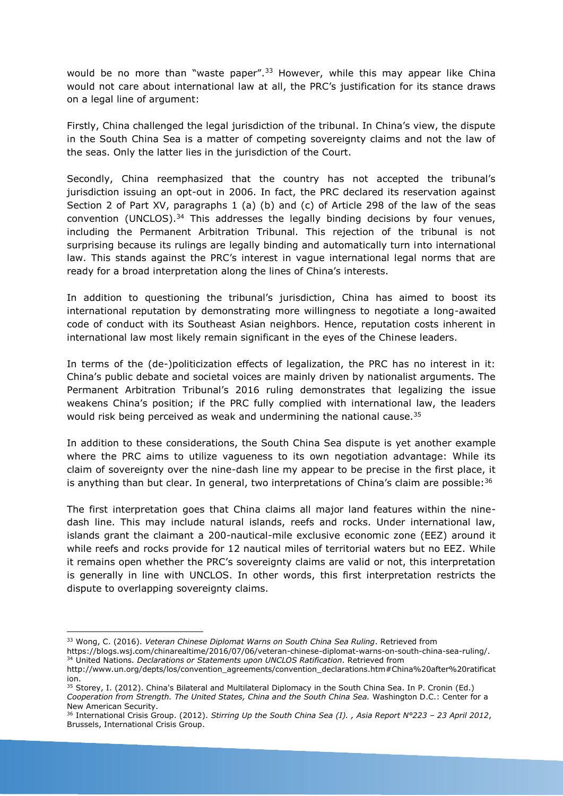would be no more than "waste paper".<sup>33</sup> However, while this may appear like China would not care about international law at all, the PRC's justification for its stance draws on a legal line of argument:

Firstly, China challenged the legal jurisdiction of the tribunal. In China's view, the dispute in the South China Sea is a matter of competing sovereignty claims and not the law of the seas. Only the latter lies in the jurisdiction of the Court.

Secondly, China reemphasized that the country has not accepted the tribunal's jurisdiction issuing an opt-out in 2006. In fact, the PRC declared its reservation against Section 2 of Part XV, paragraphs 1 (a) (b) and (c) of Article 298 of the law of the seas convention (UNCLOS).<sup>34</sup> This addresses the legally binding decisions by four venues, including the Permanent Arbitration Tribunal. This rejection of the tribunal is not surprising because its rulings are legally binding and automatically turn into international law. This stands against the PRC's interest in vague international legal norms that are ready for a broad interpretation along the lines of China's interests.

In addition to questioning the tribunal's jurisdiction, China has aimed to boost its international reputation by demonstrating more willingness to negotiate a long-awaited code of conduct with its Southeast Asian neighbors. Hence, reputation costs inherent in international law most likely remain significant in the eyes of the Chinese leaders.

In terms of the (de-)politicization effects of legalization, the PRC has no interest in it: China's public debate and societal voices are mainly driven by nationalist arguments. The Permanent Arbitration Tribunal's 2016 ruling demonstrates that legalizing the issue weakens China's position; if the PRC fully complied with international law, the leaders would risk being perceived as weak and undermining the national cause.<sup>35</sup>

In addition to these considerations, the South China Sea dispute is yet another example where the PRC aims to utilize vagueness to its own negotiation advantage: While its claim of sovereignty over the nine-dash line my appear to be precise in the first place, it is anything than but clear. In general, two interpretations of China's claim are possible:  $36$ 

The first interpretation goes that China claims all major land features within the ninedash line. This may include natural islands, reefs and rocks. Under international law, islands grant the claimant a 200-nautical-mile exclusive economic zone (EEZ) around it while reefs and rocks provide for 12 nautical miles of territorial waters but no EEZ. While it remains open whether the PRC's sovereignty claims are valid or not, this interpretation is generally in line with UNCLOS. In other words, this first interpretation restricts the dispute to overlapping sovereignty claims.

<u>.</u>

<sup>33</sup> Wong, C. (2016). *Veteran Chinese Diplomat Warns on South China Sea Ruling*. Retrieved from

https://blogs.wsj.com/chinarealtime/2016/07/06/veteran-chinese-diplomat-warns-on-south-china-sea-ruling/. <sup>34</sup> United Nations*. Declarations or Statements upon UNCLOS Ratification*. Retrieved from

http://www.un.org/depts/los/convention\_agreements/convention\_declarations.htm#China%20after%20ratificat ion.

<sup>35</sup> Storey, I. (2012). China's Bilateral and Multilateral Diplomacy in the South China Sea. In P. Cronin (Ed.) *Cooperation from Strength. The United States, China and the South China Sea.* Washington D.C.: Center for a New American Security.

<sup>36</sup> International Crisis Group. (2012). *Stirring Up the South China Sea (I). , Asia Report N°223 – 23 April 2012*, Brussels, International Crisis Group.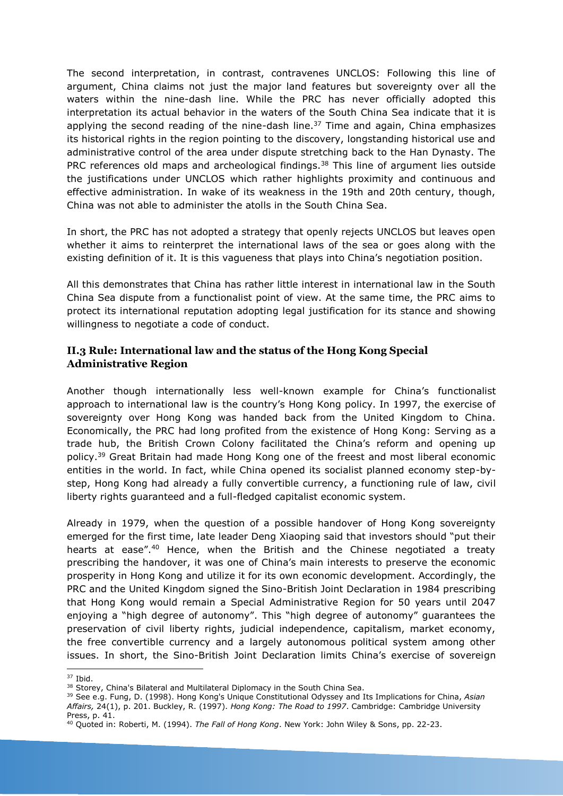The second interpretation, in contrast, contravenes UNCLOS: Following this line of argument, China claims not just the major land features but sovereignty over all the waters within the nine-dash line. While the PRC has never officially adopted this interpretation its actual behavior in the waters of the South China Sea indicate that it is applying the second reading of the nine-dash line. $37$  Time and again, China emphasizes its historical rights in the region pointing to the discovery, longstanding historical use and administrative control of the area under dispute stretching back to the Han Dynasty. The PRC references old maps and archeological findings.<sup>38</sup> This line of argument lies outside the justifications under UNCLOS which rather highlights proximity and continuous and effective administration. In wake of its weakness in the 19th and 20th century, though, China was not able to administer the atolls in the South China Sea.

In short, the PRC has not adopted a strategy that openly rejects UNCLOS but leaves open whether it aims to reinterpret the international laws of the sea or goes along with the existing definition of it. It is this vagueness that plays into China's negotiation position.

All this demonstrates that China has rather little interest in international law in the South China Sea dispute from a functionalist point of view. At the same time, the PRC aims to protect its international reputation adopting legal justification for its stance and showing willingness to negotiate a code of conduct.

#### **II.3 Rule: International law and the status of the Hong Kong Special Administrative Region**

Another though internationally less well-known example for China's functionalist approach to international law is the country's Hong Kong policy. In 1997, the exercise of sovereignty over Hong Kong was handed back from the United Kingdom to China. Economically, the PRC had long profited from the existence of Hong Kong: Serving as a trade hub, the British Crown Colony facilitated the China's reform and opening up policy.<sup>39</sup> Great Britain had made Hong Kong one of the freest and most liberal economic entities in the world. In fact, while China opened its socialist planned economy step-bystep, Hong Kong had already a fully convertible currency, a functioning rule of law, civil liberty rights guaranteed and a full-fledged capitalist economic system.

Already in 1979, when the question of a possible handover of Hong Kong sovereignty emerged for the first time, late leader Deng Xiaoping said that investors should "put their hearts at ease".<sup>40</sup> Hence, when the British and the Chinese negotiated a treaty prescribing the handover, it was one of China's main interests to preserve the economic prosperity in Hong Kong and utilize it for its own economic development. Accordingly, the PRC and the United Kingdom signed the Sino-British Joint Declaration in 1984 prescribing that Hong Kong would remain a Special Administrative Region for 50 years until 2047 enjoying a "high degree of autonomy". This "high degree of autonomy" guarantees the preservation of civil liberty rights, judicial independence, capitalism, market economy, the free convertible currency and a largely autonomous political system among other issues. In short, the Sino-British Joint Declaration limits China's exercise of sovereign

<sup>1</sup> <sup>37</sup> Ibid.

<sup>&</sup>lt;sup>38</sup> Storey, China's Bilateral and Multilateral Diplomacy in the South China Sea.

<sup>39</sup> See e.g. Fung, D. (1998). Hong Kong's Unique Constitutional Odyssey and Its Implications for China, *Asian Affairs,* 24(1), p. 201. Buckley, R. (1997). *Hong Kong: The Road to 1997*. Cambridge: Cambridge University Press, p. 41.

<sup>40</sup> Quoted in: Roberti, M. (1994). *The Fall of Hong Kong*. New York: John Wiley & Sons, pp. 22-23.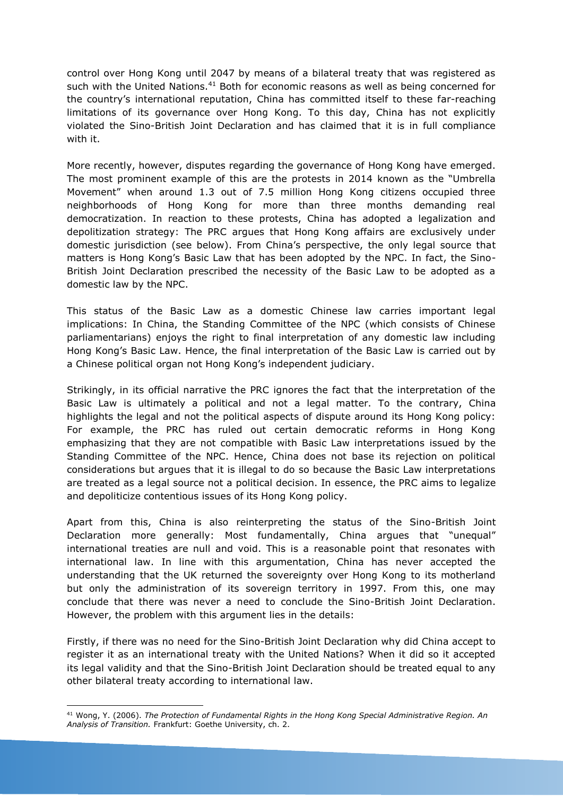control over Hong Kong until 2047 by means of a bilateral treaty that was registered as such with the United Nations.<sup>41</sup> Both for economic reasons as well as being concerned for the country's international reputation, China has committed itself to these far-reaching limitations of its governance over Hong Kong. To this day, China has not explicitly violated the Sino-British Joint Declaration and has claimed that it is in full compliance with it.

More recently, however, disputes regarding the governance of Hong Kong have emerged. The most prominent example of this are the protests in 2014 known as the "Umbrella Movement" when around 1.3 out of 7.5 million Hong Kong citizens occupied three neighborhoods of Hong Kong for more than three months demanding real democratization. In reaction to these protests, China has adopted a legalization and depolitization strategy: The PRC argues that Hong Kong affairs are exclusively under domestic jurisdiction (see below). From China's perspective, the only legal source that matters is Hong Kong's Basic Law that has been adopted by the NPC. In fact, the Sino-British Joint Declaration prescribed the necessity of the Basic Law to be adopted as a domestic law by the NPC.

This status of the Basic Law as a domestic Chinese law carries important legal implications: In China, the Standing Committee of the NPC (which consists of Chinese parliamentarians) enjoys the right to final interpretation of any domestic law including Hong Kong's Basic Law. Hence, the final interpretation of the Basic Law is carried out by a Chinese political organ not Hong Kong's independent judiciary.

Strikingly, in its official narrative the PRC ignores the fact that the interpretation of the Basic Law is ultimately a political and not a legal matter. To the contrary, China highlights the legal and not the political aspects of dispute around its Hong Kong policy: For example, the PRC has ruled out certain democratic reforms in Hong Kong emphasizing that they are not compatible with Basic Law interpretations issued by the Standing Committee of the NPC. Hence, China does not base its rejection on political considerations but argues that it is illegal to do so because the Basic Law interpretations are treated as a legal source not a political decision. In essence, the PRC aims to legalize and depoliticize contentious issues of its Hong Kong policy.

Apart from this, China is also reinterpreting the status of the Sino-British Joint Declaration more generally: Most fundamentally, China argues that "unequal" international treaties are null and void. This is a reasonable point that resonates with international law. In line with this argumentation, China has never accepted the understanding that the UK returned the sovereignty over Hong Kong to its motherland but only the administration of its sovereign territory in 1997. From this, one may conclude that there was never a need to conclude the Sino-British Joint Declaration. However, the problem with this argument lies in the details:

Firstly, if there was no need for the Sino-British Joint Declaration why did China accept to register it as an international treaty with the United Nations? When it did so it accepted its legal validity and that the Sino-British Joint Declaration should be treated equal to any other bilateral treaty according to international law.

<sup>1</sup> <sup>41</sup> Wong, Y. (2006). *The Protection of Fundamental Rights in the Hong Kong Special Administrative Region. An Analysis of Transition.* Frankfurt: Goethe University, ch. 2.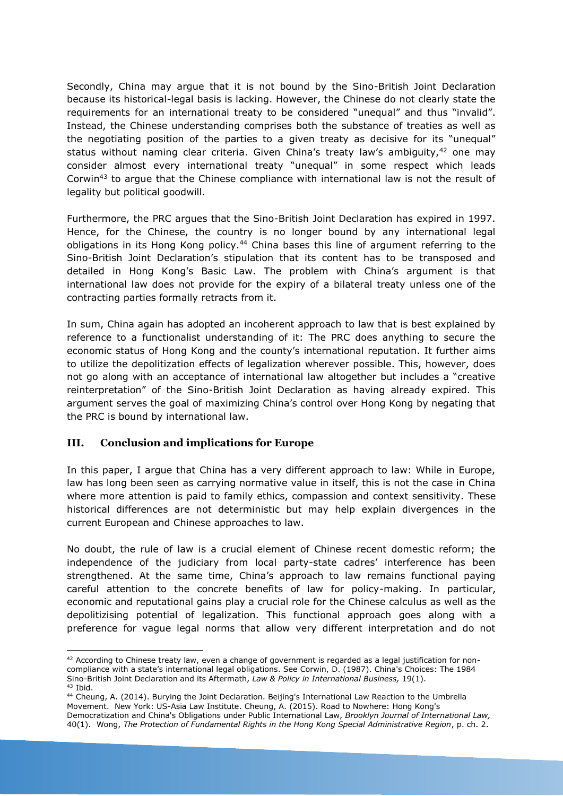Secondly, China may argue that it is not bound by the Sino-British Joint Declaration because its historical-legal basis is lacking. However, the Chinese do not clearly state the requirements for an international treaty to be considered "unequal" and thus "invalid". Instead, the Chinese understanding comprises both the substance of treaties as well as the negotiating position of the parties to a given treaty as decisive for its "unequal" status without naming clear criteria. Given China's treaty law's ambiguity, $42$  one may consider almost every international treaty "unequal" in some respect which leads Corwin<sup>43</sup> to argue that the Chinese compliance with international law is not the result of legality but political goodwill.

Furthermore, the PRC argues that the Sino-British Joint Declaration has expired in 1997. Hence, for the Chinese, the country is no longer bound by any international legal obligations in its Hong Kong policy.<sup>44</sup> China bases this line of argument referring to the Sino-British Joint Declaration's stipulation that its content has to be transposed and detailed in Hong Kong's Basic Law. The problem with China's argument is that international law does not provide for the expiry of a bilateral treaty unless one of the contracting parties formally retracts from it.

In sum, China again has adopted an incoherent approach to law that is best explained by reference to a functionalist understanding of it: The PRC does anything to secure the economic status of Hong Kong and the county's international reputation. It further aims to utilize the depolitization effects of legalization wherever possible. This, however, does not go along with an acceptance of international law altogether but includes a "creative reinterpretation" of the Sino-British Joint Declaration as having already expired. This argument serves the goal of maximizing China's control over Hong Kong by negating that the PRC is bound by international law.

#### **III. Conclusion and implications for Europe**

1

In this paper, I argue that China has a very different approach to law: While in Europe, law has long been seen as carrying normative value in itself, this is not the case in China where more attention is paid to family ethics, compassion and context sensitivity. These historical differences are not deterministic but may help explain divergences in the current European and Chinese approaches to law.

No doubt, the rule of law is a crucial element of Chinese recent domestic reform; the independence of the judiciary from local party-state cadres' interference has been strengthened. At the same time, China's approach to law remains functional paying careful attention to the concrete benefits of law for policy-making. In particular, economic and reputational gains play a crucial role for the Chinese calculus as well as the depolitizising potential of legalization. This functional approach goes along with a preference for vague legal norms that allow very different interpretation and do not

<sup>&</sup>lt;sup>42</sup> According to Chinese treaty law, even a change of government is regarded as a legal justification for noncompliance with a state's international legal obligations. See Corwin, D. (1987). China's Choices: The 1984 Sino-British Joint Declaration and its Aftermath, *Law & Policy in International Business,* 19(1).  $43$  Ibid.

<sup>44</sup> Cheung, A. (2014). Burying the Joint Declaration. Beijing's International Law Reaction to the Umbrella Movement. New York: US-Asia Law Institute. Cheung, A. (2015). Road to Nowhere: Hong Kong's Democratization and China's Obligations under Public International Law, *Brooklyn Journal of International Law,* 40(1). Wong, *The Protection of Fundamental Rights in the Hong Kong Special Administrative Region*, p. ch. 2.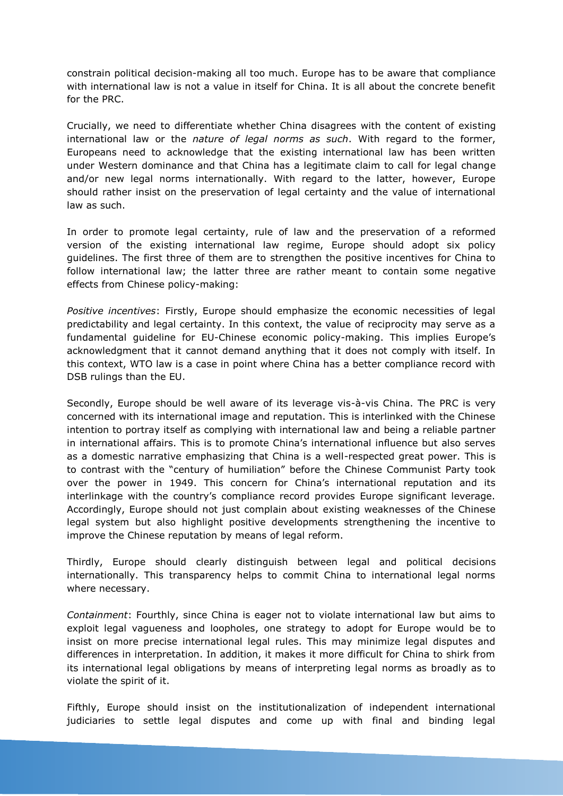constrain political decision-making all too much. Europe has to be aware that compliance with international law is not a value in itself for China. It is all about the concrete benefit for the PRC.

Crucially, we need to differentiate whether China disagrees with the content of existing international law or the *nature of legal norms as such*. With regard to the former, Europeans need to acknowledge that the existing international law has been written under Western dominance and that China has a legitimate claim to call for legal change and/or new legal norms internationally. With regard to the latter, however, Europe should rather insist on the preservation of legal certainty and the value of international law as such.

In order to promote legal certainty, rule of law and the preservation of a reformed version of the existing international law regime, Europe should adopt six policy guidelines. The first three of them are to strengthen the positive incentives for China to follow international law; the latter three are rather meant to contain some negative effects from Chinese policy-making:

*Positive incentives*: Firstly, Europe should emphasize the economic necessities of legal predictability and legal certainty. In this context, the value of reciprocity may serve as a fundamental guideline for EU-Chinese economic policy-making. This implies Europe's acknowledgment that it cannot demand anything that it does not comply with itself. In this context, WTO law is a case in point where China has a better compliance record with DSB rulings than the EU.

Secondly, Europe should be well aware of its leverage vis-à-vis China. The PRC is very concerned with its international image and reputation. This is interlinked with the Chinese intention to portray itself as complying with international law and being a reliable partner in international affairs. This is to promote China's international influence but also serves as a domestic narrative emphasizing that China is a well-respected great power. This is to contrast with the "century of humiliation" before the Chinese Communist Party took over the power in 1949. This concern for China's international reputation and its interlinkage with the country's compliance record provides Europe significant leverage. Accordingly, Europe should not just complain about existing weaknesses of the Chinese legal system but also highlight positive developments strengthening the incentive to improve the Chinese reputation by means of legal reform.

Thirdly, Europe should clearly distinguish between legal and political decisions internationally. This transparency helps to commit China to international legal norms where necessary.

*Containment*: Fourthly, since China is eager not to violate international law but aims to exploit legal vagueness and loopholes, one strategy to adopt for Europe would be to insist on more precise international legal rules. This may minimize legal disputes and differences in interpretation. In addition, it makes it more difficult for China to shirk from its international legal obligations by means of interpreting legal norms as broadly as to violate the spirit of it.

Fifthly, Europe should insist on the institutionalization of independent international judiciaries to settle legal disputes and come up with final and binding legal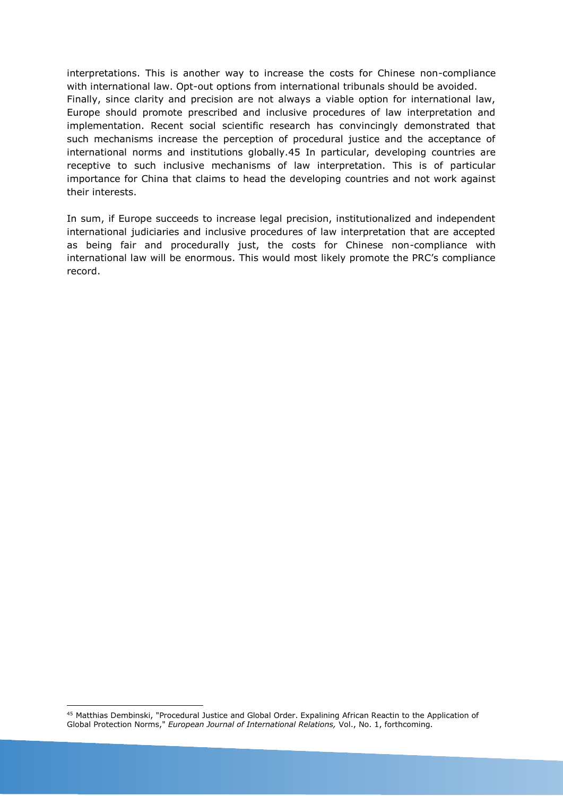interpretations. This is another way to increase the costs for Chinese non-compliance with international law. Opt-out options from international tribunals should be avoided. Finally, since clarity and precision are not always a viable option for international law, Europe should promote prescribed and inclusive procedures of law interpretation and implementation. Recent social scientific research has convincingly demonstrated that such mechanisms increase the perception of procedural justice and the acceptance of international norms and institutions globally.45 In particular, developing countries are receptive to such inclusive mechanisms of law interpretation. This is of particular importance for China that claims to head the developing countries and not work against their interests.

In sum, if Europe succeeds to increase legal precision, institutionalized and independent international judiciaries and inclusive procedures of law interpretation that are accepted as being fair and procedurally just, the costs for Chinese non-compliance with international law will be enormous. This would most likely promote the PRC's compliance record.

<sup>1</sup> <sup>45</sup> Matthias Dembinski, "Procedural Justice and Global Order. Expalining African Reactin to the Application of Global Protection Norms," *European Journal of International Relations,* Vol., No. 1, forthcoming.